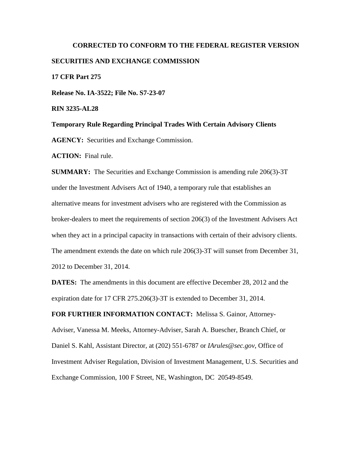# **CORRECTED TO CONFORM TO THE FEDERAL REGISTER VERSION SECURITIES AND EXCHANGE COMMISSION 17 CFR Part 275 Release No. IA-3522; File No. S7-23-07 RIN 3235-AL28**

**Temporary Rule Regarding Principal Trades With Certain Advisory Clients AGENCY:** Securities and Exchange Commission.

**ACTION:** Final rule.

**SUMMARY:** The Securities and Exchange Commission is amending rule 206(3)-3T under the Investment Advisers Act of 1940, a temporary rule that establishes an alternative means for investment advisers who are registered with the Commission as broker-dealers to meet the requirements of section 206(3) of the Investment Advisers Act when they act in a principal capacity in transactions with certain of their advisory clients. The amendment extends the date on which rule 206(3)-3T will sunset from December 31, 2012 to December 31, 2014.

**DATES:** The amendments in this document are effective December 28, 2012 and the expiration date for 17 CFR 275.206(3)-3T is extended to December 31, 2014.

**FOR FURTHER INFORMATION CONTACT:** Melissa S. Gainor, Attorney-

Adviser, Vanessa M. Meeks, Attorney-Adviser, Sarah A. Buescher, Branch Chief, or Daniel S. Kahl, Assistant Director, at (202) 551-6787 or *IArules@sec.gov*, Office of Investment Adviser Regulation, Division of Investment Management, U.S. Securities and Exchange Commission, 100 F Street, NE, Washington, DC 20549-8549.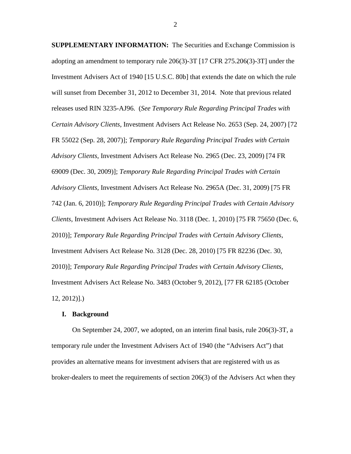**SUPPLEMENTARY INFORMATION:** The Securities and Exchange Commission is adopting an amendment to temporary rule 206(3)-3T [17 CFR 275.206(3)-3T] under the Investment Advisers Act of 1940 [15 U.S.C. 80b] that extends the date on which the rule will sunset from December 31, 2012 to December 31, 2014. Note that previous related releases used RIN 3235-AJ96. (*See Temporary Rule Regarding Principal Trades with Certain Advisory Clients*, Investment Advisers Act Release No. 2653 (Sep. 24, 2007) [72 FR 55022 (Sep. 28, 2007)]; *Temporary Rule Regarding Principal Trades with Certain Advisory Clients*, Investment Advisers Act Release No. 2965 (Dec. 23, 2009) [74 FR 69009 (Dec. 30, 2009)]; *Temporary Rule Regarding Principal Trades with Certain Advisory Clients*, Investment Advisers Act Release No. 2965A (Dec. 31, 2009) [75 FR 742 (Jan. 6, 2010)]; *Temporary Rule Regarding Principal Trades with Certain Advisory Clients*, Investment Advisers Act Release No. 3118 (Dec. 1, 2010) [75 FR 75650 (Dec. 6, 2010)]; *Temporary Rule Regarding Principal Trades with Certain Advisory Clients*, Investment Advisers Act Release No. 3128 (Dec. 28, 2010) [75 FR 82236 (Dec. 30, 2010)]; *Temporary Rule Regarding Principal Trades with Certain Advisory Clients*, Investment Advisers Act Release No. 3483 (October 9, 2012), [77 FR 62185 (October 12, 2012)].)

# **I. Background**

On September 24, 2007, we adopted, on an interim final basis, rule 206(3)-3T, a temporary rule under the Investment Advisers Act of 1940 (the "Advisers Act") that provides an alternative means for investment advisers that are registered with us as broker-dealers to meet the requirements of section 206(3) of the Advisers Act when they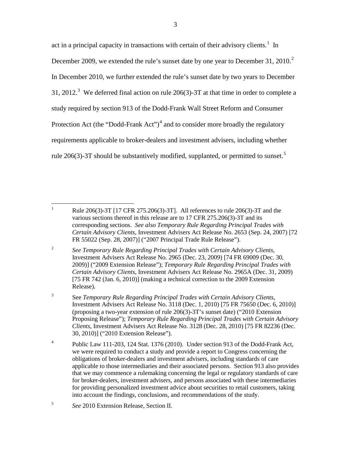act in a principal capacity in transactions with certain of their advisory clients.<sup>[1](#page-2-0)</sup> In December [2](#page-2-1)009, we extended the rule's sunset date by one year to December 31, 2010.<sup>2</sup> In December 2010, we further extended the rule's sunset date by two years to December [3](#page-2-2)1, 2012.<sup>3</sup> We deferred final action on rule 206(3)-3T at that time in order to complete a study required by section 913 of the Dodd-Frank Wall Street Reform and Consumer Protection Act (the "Dodd-Frank Act")<sup>[4](#page-2-3)</sup> and to consider more broadly the regulatory requirements applicable to broker-dealers and investment advisers, including whether rule 206(3)-3T should be substantively modified, supplanted, or permitted to sunset.<sup>[5](#page-2-4)</sup>

<span id="page-2-1"></span><sup>2</sup> *See Temporary Rule Regarding Principal Trades with Certain Advisory Clients*, Investment Advisers Act Release No. 2965 (Dec. 23, 2009) [74 FR 69009 (Dec. 30, 2009)] ("2009 Extension Release"); *Temporary Rule Regarding Principal Trades with Certain Advisory Clients*, Investment Advisers Act Release No. 2965A (Dec. 31, 2009) [75 FR 742 (Jan. 6, 2010)] (making a technical correction to the 2009 Extension Release).

<span id="page-2-0"></span><sup>&</sup>lt;sup>1</sup> Rule 206(3)-3T [17 CFR 275.206(3)-3T]. All references to rule 206(3)-3T and the various sections thereof in this release are to 17 CFR 275.206(3)-3T and its corresponding sections. *See also Temporary Rule Regarding Principal Trades with Certain Advisory Clients*, Investment Advisers Act Release No. 2653 (Sep. 24, 2007) [72 FR 55022 (Sep. 28, 2007)] ("2007 Principal Trade Rule Release").

<span id="page-2-2"></span><sup>3</sup> See *Temporary Rule Regarding Principal Trades with Certain Advisory Clients*, Investment Advisers Act Release No. 3118 (Dec. 1, 2010) [75 FR 75650 (Dec. 6, 2010)] (proposing a two-year extension of rule 206(3)-3T's sunset date) ("2010 Extension Proposing Release"); *Temporary Rule Regarding Principal Trades with Certain Advisory Clients*, Investment Advisers Act Release No. 3128 (Dec. 28, 2010) [75 FR 82236 (Dec. 30, 2010)] ("2010 Extension Release").

<span id="page-2-3"></span><sup>&</sup>lt;sup>4</sup> Public Law 111-203, 124 Stat. 1376 (2010). Under section 913 of the Dodd-Frank Act, we were required to conduct a study and provide a report to Congress concerning the obligations of broker-dealers and investment advisers, including standards of care applicable to those intermediaries and their associated persons. Section 913 also provides that we may commence a rulemaking concerning the legal or regulatory standards of care for broker-dealers, investment advisers, and persons associated with these intermediaries for providing personalized investment advice about securities to retail customers, taking into account the findings, conclusions, and recommendations of the study.

<span id="page-2-4"></span><sup>5</sup> *See* 2010 Extension Release, Section II.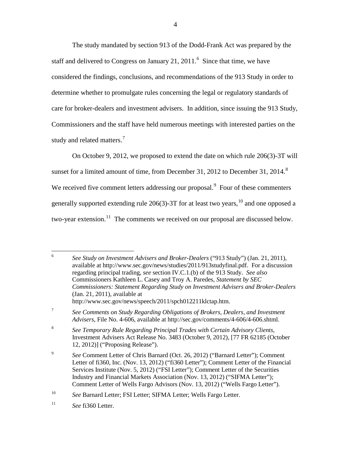The study mandated by section 913 of the Dodd-Frank Act was prepared by the staff and delivered to Congress on January 21, 2011.<sup>[6](#page-3-0)</sup> Since that time, we have considered the findings, conclusions, and recommendations of the 913 Study in order to determine whether to promulgate rules concerning the legal or regulatory standards of care for broker-dealers and investment advisers. In addition, since issuing the 913 Study, Commissioners and the staff have held numerous meetings with interested parties on the study and related matters.<sup>[7](#page-3-1)</sup>

On October 9, 2012, we proposed to extend the date on which rule 206(3)-3T will sunset for a limited amount of time, from December 31, 2012 to December 31, 2014. $8$ We received five comment letters addressing our proposal.<sup>[9](#page-3-3)</sup> Four of these commenters generally supported extending rule 206(3)-3T for at least two years,  $^{10}$  $^{10}$  $^{10}$  and one opposed a two-year extension.<sup>[11](#page-3-5)</sup> The comments we received on our proposal are discussed below.

<span id="page-3-0"></span> 6 *See Study on Investment Advisers and Broker-Dealers* ("913 Study") (Jan. 21, 2011), available at http://www.sec.gov/news/studies/2011/913studyfinal.pdf. For a discussion regarding principal trading, *see* section IV.C.1.(b) of the 913 Study. *See also* Commissioners Kathleen L. Casey and Troy A. Paredes, *Statement by SEC Commissioners: Statement Regarding Study on Investment Advisers and Broker-Dealers* (Jan. 21, 2011), available at http://www.sec.gov/news/speech/2011/spch012211klctap.htm.

<span id="page-3-1"></span><sup>7</sup> *See Comments on Study Regarding Obligations of Brokers, Dealers, and Investment Advisers*, File No. 4-606, available at http://sec.gov/comments/4-606/4-606.shtml.

<span id="page-3-2"></span><sup>8</sup> *See Temporary Rule Regarding Principal Trades with Certain Advisory Clients*, Investment Advisers Act Release No. 3483 (October 9, 2012), [77 FR 62185 (October 12, 2012)] ("Proposing Release").

<span id="page-3-3"></span><sup>9</sup> *See* Comment Letter of Chris Barnard (Oct. 26, 2012) ("Barnard Letter"); Comment Letter of fi360, Inc. (Nov. 13, 2012) ("fi360 Letter"); Comment Letter of the Financial Services Institute (Nov. 5, 2012) ("FSI Letter"); Comment Letter of the Securities Industry and Financial Markets Association (Nov. 13, 2012) ("SIFMA Letter"); Comment Letter of Wells Fargo Advisors (Nov. 13, 2012) ("Wells Fargo Letter").

<span id="page-3-4"></span><sup>10</sup> *See* Barnard Letter; FSI Letter; SIFMA Letter; Wells Fargo Letter.

<span id="page-3-5"></span><sup>11</sup> *See* fi360 Letter.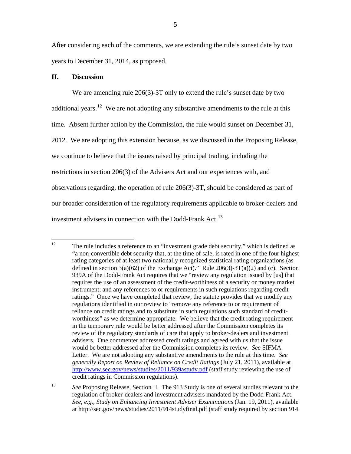After considering each of the comments, we are extending the rule's sunset date by two years to December 31, 2014, as proposed.

# **II. Discussion**

We are amending rule 206(3)-3T only to extend the rule's sunset date by two additional years.<sup>12</sup> We are not adopting any substantive amendments to the rule at this time. Absent further action by the Commission, the rule would sunset on December 31, 2012. We are adopting this extension because, as we discussed in the Proposing Release, we continue to believe that the issues raised by principal trading, including the restrictions in section 206(3) of the Advisers Act and our experiences with, and observations regarding, the operation of rule 206(3)-3T, should be considered as part of our broader consideration of the regulatory requirements applicable to broker-dealers and investment advisers in connection with the Dodd-Frank Act.<sup>[13](#page-4-1)</sup>

<span id="page-4-0"></span><sup>&</sup>lt;sup>12</sup> The rule includes a reference to an "investment grade debt security," which is defined as "a non-convertible debt security that, at the time of sale, is rated in one of the four highest rating categories of at least two nationally recognized statistical rating organizations (as defined in section  $3(a)(62)$  of the Exchange Act)." Rule  $206(3)-3T(a)(2)$  and (c). Section 939A of the Dodd-Frank Act requires that we "review any regulation issued by [us] that requires the use of an assessment of the credit-worthiness of a security or money market instrument; and any references to or requirements in such regulations regarding credit ratings." Once we have completed that review, the statute provides that we modify any regulations identified in our review to "remove any reference to or requirement of reliance on credit ratings and to substitute in such regulations such standard of creditworthiness" as we determine appropriate. We believe that the credit rating requirement in the temporary rule would be better addressed after the Commission completes its review of the regulatory standards of care that apply to broker-dealers and investment advisers. One commenter addressed credit ratings and agreed with us that the issue would be better addressed after the Commission completes its review. *See* SIFMA Letter. We are not adopting any substantive amendments to the rule at this time. *See generally Report on Review of Reliance on Credit Ratings* (July 21, 2011), available at <http://www.sec.gov/news/studies/2011/939astudy.pdf> (staff study reviewing the use of credit ratings in Commission regulations).

<span id="page-4-1"></span><sup>&</sup>lt;sup>13</sup> See Proposing Release, Section II. The 913 Study is one of several studies relevant to the regulation of broker-dealers and investment advisers mandated by the Dodd-Frank Act. *See, e.g.*, *Study on Enhancing Investment Adviser Examinations* (Jan. 19, 2011), available at http://sec.gov/news/studies/2011/914studyfinal.pdf (staff study required by section 914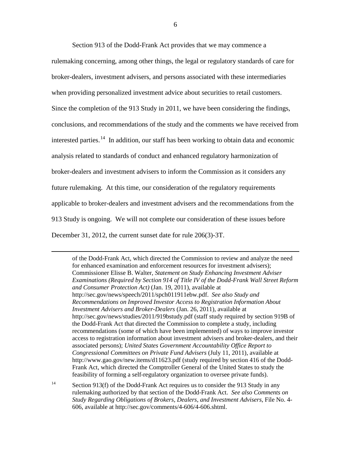Section 913 of the Dodd-Frank Act provides that we may commence a rulemaking concerning, among other things, the legal or regulatory standards of care for broker-dealers, investment advisers, and persons associated with these intermediaries when providing personalized investment advice about securities to retail customers. Since the completion of the 913 Study in 2011, we have been considering the findings, conclusions, and recommendations of the study and the comments we have received from interested parties.<sup>[14](#page-5-0)</sup> In addition, our staff has been working to obtain data and economic analysis related to standards of conduct and enhanced regulatory harmonization of broker-dealers and investment advisers to inform the Commission as it considers any future rulemaking. At this time, our consideration of the regulatory requirements applicable to broker-dealers and investment advisers and the recommendations from the 913 Study is ongoing. We will not complete our consideration of these issues before December 31, 2012, the current sunset date for rule 206(3)-3T.

 $\overline{a}$ 

of the Dodd-Frank Act, which directed the Commission to review and analyze the need for enhanced examination and enforcement resources for investment advisers); Commissioner Elisse B. Walter, *Statement on Study Enhancing Investment Adviser Examinations (Required by Section 914 of Title IV of the Dodd-Frank Wall Street Reform and Consumer Protection Act)* (Jan. 19, 2011), available at http://sec.gov/news/speech/2011/spch011911ebw.pdf. *See also Study and Recommendations on Improved Investor Access to Registration Information About Investment Advisers and Broker-Dealers* (Jan. 26, 2011), available at http://sec.gov/news/studies/2011/919bstudy.pdf (staff study required by section 919B of the Dodd-Frank Act that directed the Commission to complete a study, including recommendations (some of which have been implemented) of ways to improve investor access to registration information about investment advisers and broker-dealers, and their associated persons); *United States Government Accountability Office Report to Congressional Committees on Private Fund Advisers* (July 11, 2011), available at http://www.gao.gov/new.items/d11623.pdf (study required by section 416 of the Dodd-Frank Act, which directed the Comptroller General of the United States to study the feasibility of forming a self-regulatory organization to oversee private funds).

<span id="page-5-0"></span><sup>14</sup> Section 913(f) of the Dodd-Frank Act requires us to consider the 913 Study in any rulemaking authorized by that section of the Dodd-Frank Act. *See also Comments on Study Regarding Obligations of Brokers, Dealers, and Investment Advisers*, File No. 4- 606, available at http://sec.gov/comments/4-606/4-606.shtml.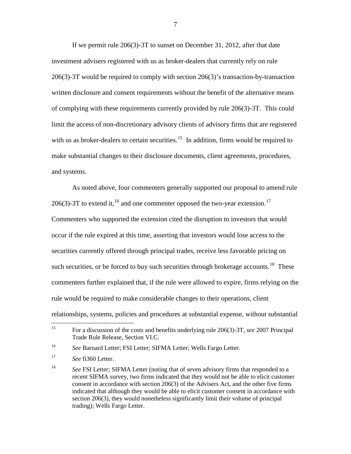If we permit rule 206(3)-3T to sunset on December 31, 2012, after that date investment advisers registered with us as broker-dealers that currently rely on rule 206(3)-3T would be required to comply with section 206(3)'s transaction-by-transaction written disclosure and consent requirements without the benefit of the alternative means of complying with these requirements currently provided by rule 206(3)-3T. This could limit the access of non-discretionary advisory clients of advisory firms that are registered with us as broker-dealers to certain securities.<sup>[15](#page-6-0)</sup> In addition, firms would be required to make substantial changes to their disclosure documents, client agreements, procedures, and systems.

As noted above, four commenters generally supported our proposal to amend rule 206(3)-3T to extend it, <sup>[16](#page-6-1)</sup> and one commenter opposed the two-year extension.<sup>17</sup> Commenters who supported the extension cited the disruption to investors that would occur if the rule expired at this time, asserting that investors would lose access to the securities currently offered through principal trades, receive less favorable pricing on such securities, or be forced to buy such securities through brokerage accounts.<sup>[18](#page-6-3)</sup> These commenters further explained that, if the rule were allowed to expire, firms relying on the rule would be required to make considerable changes to their operations, client relationships, systems, policies and procedures at substantial expense, without substantial

<span id="page-6-4"></span><span id="page-6-0"></span> <sup>15</sup> For a discussion of the costs and benefits underlying rule 206(3)-3T, *see* 2007 Principal Trade Rule Release, Section VI.C.

<span id="page-6-1"></span><sup>16</sup> *See* Barnard Letter; FSI Letter; SIFMA Letter; Wells Fargo Letter.

<span id="page-6-2"></span><sup>17</sup> *See* fi360 Letter.

<span id="page-6-3"></span><sup>&</sup>lt;sup>18</sup> *See* FSI Letter; SIFMA Letter (noting that of seven advisory firms that responded to a recent SIFMA survey, two firms indicated that they would not be able to elicit customer consent in accordance with section 206(3) of the Advisers Act, and the other five firms indicated that although they would be able to elicit customer consent in accordance with section 206(3), they would nonetheless significantly limit their volume of principal trading); Wells Fargo Letter.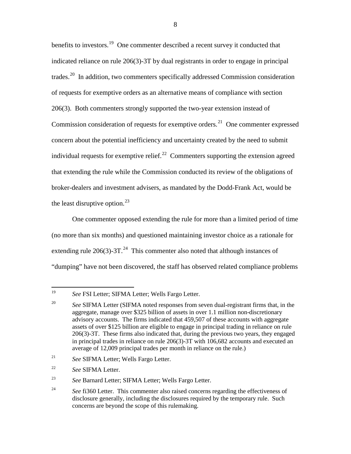<span id="page-7-6"></span>benefits to investors.<sup>[19](#page-7-0)</sup> One commenter described a recent survey it conducted that indicated reliance on rule 206(3)-3T by dual registrants in order to engage in principal trades.<sup>[20](#page-7-1)</sup> In addition, two commenters specifically addressed Commission consideration of requests for exemptive orders as an alternative means of compliance with section 206(3). Both commenters strongly supported the two-year extension instead of Commission consideration of requests for exemptive orders.<sup>[21](#page-7-2)</sup> One commenter expressed concern about the potential inefficiency and uncertainty created by the need to submit individual requests for exemptive relief.<sup>22</sup> Commenters supporting the extension agreed that extending the rule while the Commission conducted its review of the obligations of broker-dealers and investment advisers, as mandated by the Dodd-Frank Act, would be the least disruptive option.<sup>[23](#page-7-4)</sup>

One commenter opposed extending the rule for more than a limited period of time (no more than six months) and questioned maintaining investor choice as a rationale for extending rule  $206(3)$ -3T.<sup>24</sup> This commenter also noted that although instances of "dumping" have not been discovered, the staff has observed related compliance problems

- <span id="page-7-2"></span><sup>21</sup> *See* SIFMA Letter; Wells Fargo Letter.
- <span id="page-7-3"></span><sup>22</sup> *See* SIFMA Letter.

<span id="page-7-0"></span> <sup>19</sup> *See* FSI Letter; SIFMA Letter; Wells Fargo Letter.

<span id="page-7-1"></span><sup>&</sup>lt;sup>20</sup> *See SIFMA Letter (SIFMA noted responses from seven dual-registrant firms that, in the* aggregate, manage over \$325 billion of assets in over 1.1 million non-discretionary advisory accounts. The firms indicated that 459,507 of these accounts with aggregate assets of over \$125 billion are eligible to engage in principal trading in reliance on rule 206(3)-3T. These firms also indicated that, during the previous two years, they engaged in principal trades in reliance on rule 206(3)-3T with 106,682 accounts and executed an average of 12,009 principal trades per month in reliance on the rule.)

<span id="page-7-4"></span><sup>23</sup> *See* Barnard Letter; SIFMA Letter; Wells Fargo Letter.

<span id="page-7-5"></span><sup>&</sup>lt;sup>24</sup> See fi360 Letter. This commenter also raised concerns regarding the effectiveness of disclosure generally, including the disclosures required by the temporary rule. Such concerns are beyond the scope of this rulemaking.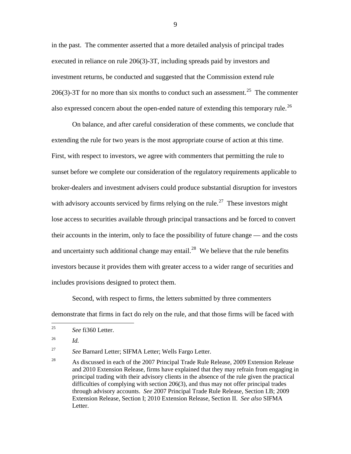in the past. The commenter asserted that a more detailed analysis of principal trades executed in reliance on rule 206(3)-3T, including spreads paid by investors and investment returns, be conducted and suggested that the Commission extend rule 206(3)-3T for no more than six months to conduct such an assessment.<sup>[25](#page-8-0)</sup> The commenter also expressed concern about the open-ended nature of extending this temporary rule.<sup>[26](#page-8-1)</sup>

On balance, and after careful consideration of these comments, we conclude that extending the rule for two years is the most appropriate course of action at this time. First, with respect to investors, we agree with commenters that permitting the rule to sunset before we complete our consideration of the regulatory requirements applicable to broker-dealers and investment advisers could produce substantial disruption for investors with advisory accounts serviced by firms relying on the rule.<sup>[27](#page-8-2)</sup> These investors might lose access to securities available through principal transactions and be forced to convert their accounts in the interim, only to face the possibility of future change — and the costs and uncertainty such additional change may entail.<sup>[28](#page-8-3)</sup> We believe that the rule benefits investors because it provides them with greater access to a wider range of securities and includes provisions designed to protect them.

Second, with respect to firms, the letters submitted by three commenters demonstrate that firms in fact do rely on the rule, and that those firms will be faced with

<span id="page-8-2"></span><sup>27</sup> *See* Barnard Letter; SIFMA Letter; Wells Fargo Letter.

<span id="page-8-0"></span> <sup>25</sup> *See* fi360 Letter.

<span id="page-8-1"></span><sup>26</sup> *Id.*

<span id="page-8-3"></span><sup>&</sup>lt;sup>28</sup> As discussed in each of the 2007 Principal Trade Rule Release, 2009 Extension Release and 2010 Extension Release, firms have explained that they may refrain from engaging in principal trading with their advisory clients in the absence of the rule given the practical difficulties of complying with section 206(3), and thus may not offer principal trades through advisory accounts. *See* 2007 Principal Trade Rule Release, Section I.B; 2009 Extension Release, Section I; 2010 Extension Release, Section II. *See also* SIFMA Letter.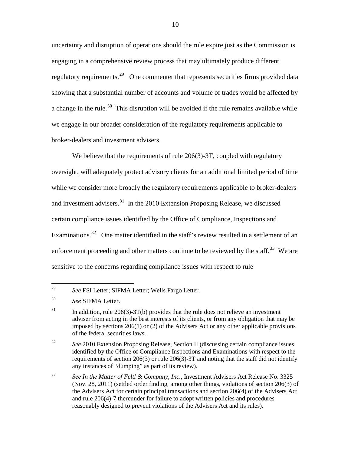uncertainty and disruption of operations should the rule expire just as the Commission is engaging in a comprehensive review process that may ultimately produce different regulatory requirements.<sup>29</sup> One commenter that represents securities firms provided data showing that a substantial number of accounts and volume of trades would be affected by a change in the rule.<sup>30</sup> This disruption will be avoided if the rule remains available while we engage in our broader consideration of the regulatory requirements applicable to broker-dealers and investment advisers.

We believe that the requirements of rule 206(3)-3T, coupled with regulatory oversight, will adequately protect advisory clients for an additional limited period of time while we consider more broadly the regulatory requirements applicable to broker-dealers and investment advisers.<sup>31</sup> In the 2010 Extension Proposing Release, we discussed certain compliance issues identified by the Office of Compliance, Inspections and Examinations.<sup>[32](#page-9-3)</sup> One matter identified in the staff's review resulted in a settlement of an enforcement proceeding and other matters continue to be reviewed by the staff.<sup>[33](#page-9-4)</sup> We are sensitive to the concerns regarding compliance issues with respect to rule

<span id="page-9-5"></span><span id="page-9-0"></span> <sup>29</sup> *See* FSI Letter; SIFMA Letter; Wells Fargo Letter.

<span id="page-9-1"></span><sup>30</sup> *See* SIFMA Letter.

<span id="page-9-2"></span> $31$  In addition, rule 206(3)-3T(b) provides that the rule does not relieve an investment adviser from acting in the best interests of its clients, or from any obligation that may be imposed by sections 206(1) or (2) of the Advisers Act or any other applicable provisions of the federal securities laws.

<span id="page-9-3"></span><sup>32</sup> *See* 2010 Extension Proposing Release, Section II (discussing certain compliance issues identified by the Office of Compliance Inspections and Examinations with respect to the requirements of section 206(3) or rule 206(3)-3T and noting that the staff did not identify any instances of "dumping" as part of its review).

<span id="page-9-4"></span><sup>33</sup> *See In the Matter of Feltl & Company, Inc.,* Investment Advisers Act Release No. 3325 (Nov. 28, 2011) (settled order finding, among other things, violations of section 206(3) of the Advisers Act for certain principal transactions and section 206(4) of the Advisers Act and rule 206(4)-7 thereunder for failure to adopt written policies and procedures reasonably designed to prevent violations of the Advisers Act and its rules).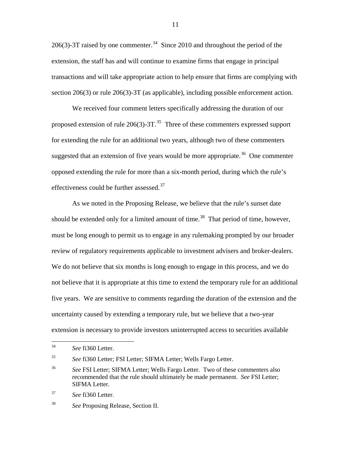206(3)-3T raised by one commenter.<sup>34</sup> Since 2010 and throughout the period of the extension, the staff has and will continue to examine firms that engage in principal transactions and will take appropriate action to help ensure that firms are complying with section 206(3) or rule 206(3)-3T (as applicable), including possible enforcement action.

We received four comment letters specifically addressing the duration of our proposed extension of rule  $206(3)$ -3T.<sup>[35](#page-10-1)</sup> Three of these commenters expressed support for extending the rule for an additional two years, although two of these commenters suggested that an extension of five years would be more appropriate.<sup>36</sup> One commenter opposed extending the rule for more than a six-month period, during which the rule's effectiveness could be further assessed. $37$ 

As we noted in the Proposing Release, we believe that the rule's sunset date should be extended only for a limited amount of time.<sup>[38](#page-10-4)</sup> That period of time, however, must be long enough to permit us to engage in any rulemaking prompted by our broader review of regulatory requirements applicable to investment advisers and broker-dealers. We do not believe that six months is long enough to engage in this process, and we do not believe that it is appropriate at this time to extend the temporary rule for an additional five years. We are sensitive to comments regarding the duration of the extension and the uncertainty caused by extending a temporary rule, but we believe that a two-year extension is necessary to provide investors uninterrupted access to securities available

<span id="page-10-1"></span><sup>35</sup> *See* fi360 Letter; FSI Letter; SIFMA Letter; Wells Fargo Letter.

<span id="page-10-0"></span> <sup>34</sup> *See* fi360 Letter.

<span id="page-10-2"></span><sup>36</sup> *See* FSI Letter; SIFMA Letter; Wells Fargo Letter. Two of these commenters also recommended that the rule should ultimately be made permanent. *See* FSI Letter; SIFMA Letter.

<span id="page-10-3"></span><sup>37</sup> *See* fi360 Letter.

<span id="page-10-4"></span><sup>38</sup> *See* Proposing Release, Section II.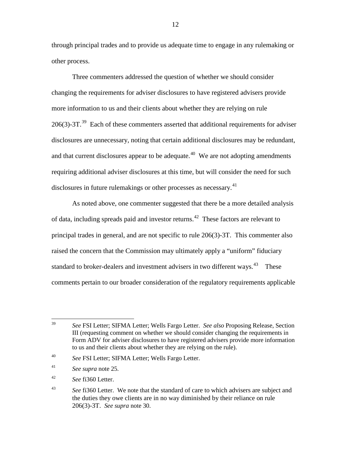through principal trades and to provide us adequate time to engage in any rulemaking or other process.

Three commenters addressed the question of whether we should consider changing the requirements for adviser disclosures to have registered advisers provide more information to us and their clients about whether they are relying on rule  $206(3)$ -3T.<sup>39</sup> Each of these commenters asserted that additional requirements for adviser disclosures are unnecessary, noting that certain additional disclosures may be redundant, and that current disclosures appear to be adequate.<sup>[40](#page-11-1)</sup> We are not adopting amendments requiring additional adviser disclosures at this time, but will consider the need for such disclosures in future rulemakings or other processes as necessary.<sup>[41](#page-11-2)</sup>

As noted above, one commenter suggested that there be a more detailed analysis of data, including spreads paid and investor returns.<sup>42</sup> These factors are relevant to principal trades in general, and are not specific to rule 206(3)-3T. This commenter also raised the concern that the Commission may ultimately apply a "uniform" fiduciary standard to broker-dealers and investment advisers in two different ways. $43$  These comments pertain to our broader consideration of the regulatory requirements applicable

- <span id="page-11-2"></span><sup>41</sup> *See supra* note 25.
- <span id="page-11-3"></span><sup>42</sup> *See* fi360 Letter.

<span id="page-11-0"></span> <sup>39</sup> *See* FSI Letter; SIFMA Letter; Wells Fargo Letter. *See also* Proposing Release, Section III (requesting comment on whether we should consider changing the requirements in Form ADV for adviser disclosures to have registered advisers provide more information to us and their clients about whether they are relying on the rule).

<span id="page-11-1"></span><sup>40</sup> *See* FSI Letter; SIFMA Letter; Wells Fargo Letter.

<span id="page-11-4"></span><sup>43</sup> *See* fi360 Letter. We note that the standard of care to which advisers are subject and the duties they owe clients are in no way diminished by their reliance on rule 206(3)-3T. *See supra* note 30.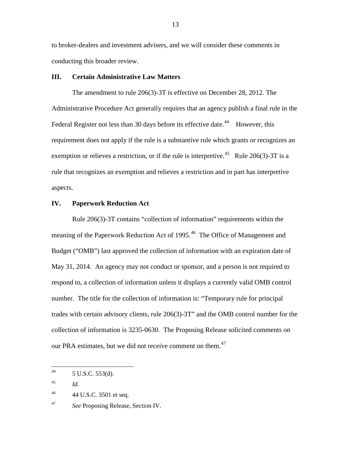to broker-dealers and investment advisers, and we will consider these comments in conducting this broader review.

# **III. Certain Administrative Law Matters**

The amendment to rule 206(3)-3T is effective on December 28, 2012. The Administrative Procedure Act generally requires that an agency publish a final rule in the Federal Register not less than 30 days before its effective date.<sup>44</sup> However, this requirement does not apply if the rule is a substantive rule which grants or recognizes an exemption or relieves a restriction, or if the rule is interpretive.<sup>45</sup> Rule 206(3)-3T is a rule that recognizes an exemption and relieves a restriction and in part has interpretive aspects.

# **IV. Paperwork Reduction Act**

Rule 206(3)-3T contains "collection of information" requirements within the meaning of the Paperwork Reduction Act of 1995.<sup>[46](#page-12-2)</sup> The Office of Management and Budget ("OMB") last approved the collection of information with an expiration date of May 31, 2014. An agency may not conduct or sponsor, and a person is not required to respond to, a collection of information unless it displays a currently valid OMB control number. The title for the collection of information is: "Temporary rule for principal trades with certain advisory clients, rule 206(3)-3T" and the OMB control number for the collection of information is 3235-0630. The Proposing Release solicited comments on our PRA estimates, but we did not receive comment on them.<sup>[47](#page-12-3)</sup>

<span id="page-12-0"></span> $^{44}$  5 U.S.C. 553(d).

<span id="page-12-1"></span><sup>45</sup> *Id.*

<span id="page-12-2"></span> $^{46}$  44 U.S.C. 3501 et seq.

<span id="page-12-3"></span><sup>47</sup> *See* Proposing Release, Section IV.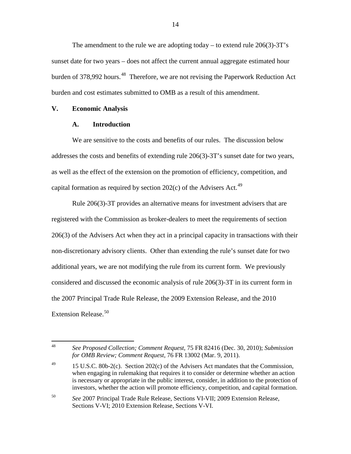The amendment to the rule we are adopting today – to extend rule 206(3)-3T's sunset date for two years – does not affect the current annual aggregate estimated hour burden of 378,992 hours.<sup>48</sup> Therefore, we are not revising the Paperwork Reduction Act burden and cost estimates submitted to OMB as a result of this amendment.

#### **V. Economic Analysis**

# **A. Introduction**

We are sensitive to the costs and benefits of our rules. The discussion below addresses the costs and benefits of extending rule 206(3)-3T's sunset date for two years, as well as the effect of the extension on the promotion of efficiency, competition, and capital formation as required by section  $202(c)$  of the Advisers Act.<sup>[49](#page-13-1)</sup>

Rule 206(3)-3T provides an alternative means for investment advisers that are registered with the Commission as broker-dealers to meet the requirements of section 206(3) of the Advisers Act when they act in a principal capacity in transactions with their non-discretionary advisory clients. Other than extending the rule's sunset date for two additional years, we are not modifying the rule from its current form. We previously considered and discussed the economic analysis of rule 206(3)-3T in its current form in the 2007 Principal Trade Rule Release, the 2009 Extension Release, and the 2010 Extension Release. [50](#page-13-2) 

<span id="page-13-3"></span><span id="page-13-0"></span> <sup>48</sup> *See Proposed Collection; Comment Request*, 75 FR 82416 (Dec. 30, 2010); *Submission for OMB Review; Comment Request*, 76 FR 13002 (Mar. 9, 2011).

<span id="page-13-1"></span><sup>&</sup>lt;sup>49</sup> 15 U.S.C. 80b-2(c). Section 202(c) of the Advisers Act mandates that the Commission, when engaging in rulemaking that requires it to consider or determine whether an action is necessary or appropriate in the public interest, consider, in addition to the protection of investors, whether the action will promote efficiency, competition, and capital formation.

<span id="page-13-2"></span><sup>50</sup> *See* 2007 Principal Trade Rule Release, Sections VI-VII; 2009 Extension Release, Sections V-VI; 2010 Extension Release, Sections V-VI.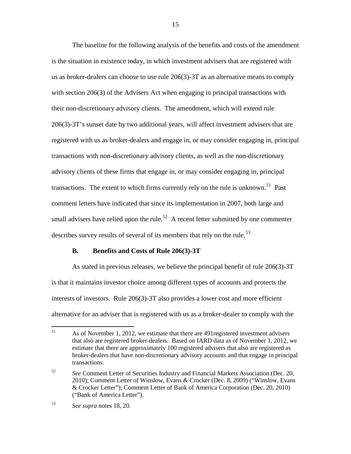The baseline for the following analysis of the benefits and costs of the amendment is the situation in existence today, in which investment advisers that are registered with us as broker-dealers can choose to use rule 206(3)-3T as an alternative means to comply with section 206(3) of the Advisers Act when engaging in principal transactions with their non-discretionary advisory clients. The amendment, which will extend rule 206(3)-3T's sunset date by two additional years, will affect investment advisers that are registered with us as broker-dealers and engage in, or may consider engaging in, principal transactions with non-discretionary advisory clients, as well as the non-discretionary advisory clients of these firms that engage in, or may consider engaging in, principal transactions. The extent to which firms currently rely on the rule is unknown.<sup>51</sup> Past comment letters have indicated that since its implementation in 2007, both large and small advisers have relied upon the rule.<sup>[52](#page-14-1)</sup> A recent letter submitted by one commenter describes survey results of several of its members that rely on the rule.<sup>[53](#page-14-2)</sup>

#### **B. Benefits and Costs of Rule 206(3)-3T**

As stated in previous releases, we believe the principal benefit of rule 206(3)-3T is that it maintains investor choice among different types of accounts and protects the interests of investors. Rule 206(3)-3T also provides a lower cost and more efficient alternative for an adviser that is registered with us as a broker-dealer to comply with the

<span id="page-14-0"></span><sup>&</sup>lt;sup>51</sup> As of November 1, 2012, we estimate that there are 491 registered investment advisers that also are registered broker-dealers. Based on IARD data as of November 1, 2012, we estimate that there are approximately 100 registered advisers that also are registered as broker-dealers that have non-discretionary advisory accounts and that engage in principal transactions.

<span id="page-14-1"></span><sup>52</sup> *See* Comment Letter of Securities Industry and Financial Markets Association (Dec. 20, 2010); Comment Letter of Winslow, Evans & Crocker (Dec. 8, 2009) ("Winslow, Evans & Crocker Letter"); Comment Letter of Bank of America Corporation (Dec. 20, 2010) ("Bank of America Letter").

<span id="page-14-2"></span><sup>53</sup> *See supra* notes [18,](#page-6-4) [20.](#page-7-6)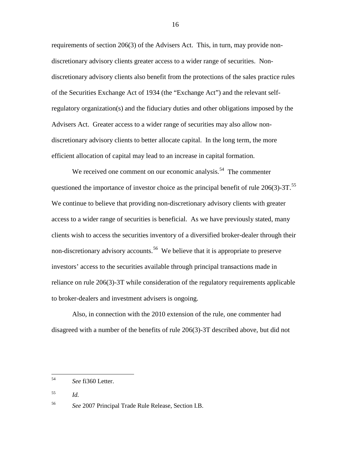requirements of section 206(3) of the Advisers Act. This, in turn, may provide nondiscretionary advisory clients greater access to a wider range of securities. Nondiscretionary advisory clients also benefit from the protections of the sales practice rules of the Securities Exchange Act of 1934 (the "Exchange Act") and the relevant selfregulatory organization(s) and the fiduciary duties and other obligations imposed by the Advisers Act. Greater access to a wider range of securities may also allow nondiscretionary advisory clients to better allocate capital. In the long term, the more efficient allocation of capital may lead to an increase in capital formation.

We received one comment on our economic analysis.<sup>[54](#page-15-0)</sup> The commenter questioned the importance of investor choice as the principal benefit of rule  $206(3)$ -3T.<sup>55</sup> We continue to believe that providing non-discretionary advisory clients with greater access to a wider range of securities is beneficial. As we have previously stated, many clients wish to access the securities inventory of a diversified broker-dealer through their non-discretionary advisory accounts.<sup>56</sup> We believe that it is appropriate to preserve investors' access to the securities available through principal transactions made in reliance on rule 206(3)-3T while consideration of the regulatory requirements applicable to broker-dealers and investment advisers is ongoing.

Also, in connection with the 2010 extension of the rule, one commenter had disagreed with a number of the benefits of rule 206(3)-3T described above, but did not

<span id="page-15-0"></span> <sup>54</sup> *See* fi360 Letter.

<span id="page-15-1"></span><sup>55</sup> *Id.*

<span id="page-15-2"></span><sup>56</sup> *See* 2007 Principal Trade Rule Release, Section I.B.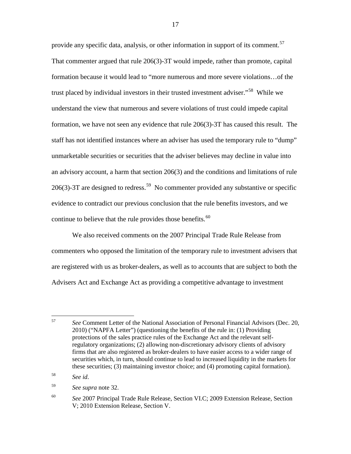provide any specific data, analysis, or other information in support of its comment.<sup>[57](#page-16-0)</sup> That commenter argued that rule 206(3)-3T would impede, rather than promote, capital formation because it would lead to "more numerous and more severe violations…of the trust placed by individual investors in their trusted investment adviser."<sup>58</sup> While we understand the view that numerous and severe violations of trust could impede capital formation, we have not seen any evidence that rule 206(3)-3T has caused this result. The staff has not identified instances where an adviser has used the temporary rule to "dump" unmarketable securities or securities that the adviser believes may decline in value into an advisory account, a harm that section 206(3) and the conditions and limitations of rule 206(3)-3T are designed to redress.<sup>59</sup> No commenter provided any substantive or specific evidence to contradict our previous conclusion that the rule benefits investors, and we continue to believe that the rule provides those benefits.<sup>[60](#page-16-3)</sup>

We also received comments on the 2007 Principal Trade Rule Release from commenters who opposed the limitation of the temporary rule to investment advisers that are registered with us as broker-dealers, as well as to accounts that are subject to both the Advisers Act and Exchange Act as providing a competitive advantage to investment

<span id="page-16-0"></span> <sup>57</sup> *See* Comment Letter of the National Association of Personal Financial Advisors (Dec. 20, 2010) ("NAPFA Letter") (questioning the benefits of the rule in: (1) Providing protections of the sales practice rules of the Exchange Act and the relevant selfregulatory organizations; (2) allowing non-discretionary advisory clients of advisory firms that are also registered as broker-dealers to have easier access to a wider range of securities which, in turn, should continue to lead to increased liquidity in the markets for these securities; (3) maintaining investor choice; and (4) promoting capital formation).

<span id="page-16-1"></span><sup>58</sup> *See id*.

<span id="page-16-2"></span><sup>59</sup> *See supra* note [32.](#page-9-5)

<span id="page-16-3"></span><sup>60</sup> *See* 2007 Principal Trade Rule Release, Section VI.C; 2009 Extension Release, Section V; 2010 Extension Release, Section V.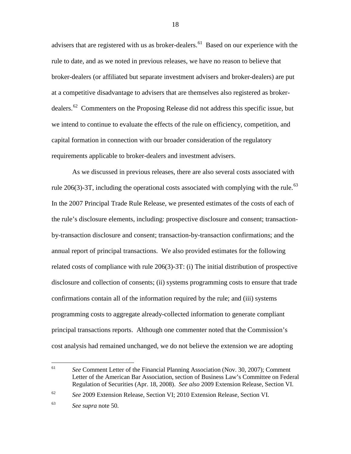advisers that are registered with us as broker-dealers.<sup>[61](#page-17-0)</sup> Based on our experience with the rule to date, and as we noted in previous releases, we have no reason to believe that broker-dealers (or affiliated but separate investment advisers and broker-dealers) are put at a competitive disadvantage to advisers that are themselves also registered as broker-dealers.<sup>[62](#page-17-1)</sup> Commenters on the Proposing Release did not address this specific issue, but we intend to continue to evaluate the effects of the rule on efficiency, competition, and capital formation in connection with our broader consideration of the regulatory requirements applicable to broker-dealers and investment advisers.

As we discussed in previous releases, there are also several costs associated with rule 206(3)-3T, including the operational costs associated with complying with the rule.<sup>[63](#page-17-2)</sup> In the 2007 Principal Trade Rule Release, we presented estimates of the costs of each of the rule's disclosure elements, including: prospective disclosure and consent; transactionby-transaction disclosure and consent; transaction-by-transaction confirmations; and the annual report of principal transactions. We also provided estimates for the following related costs of compliance with rule 206(3)-3T: (i) The initial distribution of prospective disclosure and collection of consents; (ii) systems programming costs to ensure that trade confirmations contain all of the information required by the rule; and (iii) systems programming costs to aggregate already-collected information to generate compliant principal transactions reports. Although one commenter noted that the Commission's cost analysis had remained unchanged, we do not believe the extension we are adopting

<span id="page-17-0"></span> <sup>61</sup> *See* Comment Letter of the Financial Planning Association (Nov. 30, 2007); Comment Letter of the American Bar Association, section of Business Law's Committee on Federal Regulation of Securities (Apr. 18, 2008). *See also* 2009 Extension Release, Section VI.

<span id="page-17-1"></span><sup>62</sup> *See* 2009 Extension Release, Section VI; 2010 Extension Release, Section VI.

<span id="page-17-2"></span><sup>63</sup> *See supra* note [50.](#page-13-3)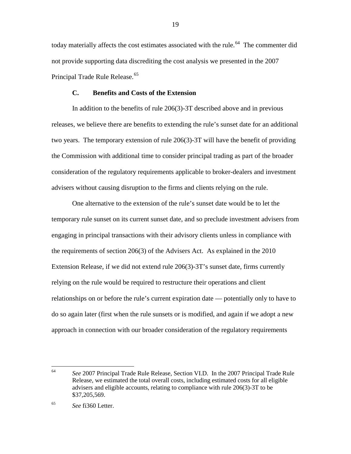today materially affects the cost estimates associated with the rule.<sup>64</sup> The commenter did not provide supporting data discrediting the cost analysis we presented in the 2007 Principal Trade Rule Release.<sup>65</sup>

# **C. Benefits and Costs of the Extension**

In addition to the benefits of rule 206(3)-3T described above and in previous releases, we believe there are benefits to extending the rule's sunset date for an additional two years. The temporary extension of rule 206(3)-3T will have the benefit of providing the Commission with additional time to consider principal trading as part of the broader consideration of the regulatory requirements applicable to broker-dealers and investment advisers without causing disruption to the firms and clients relying on the rule.

One alternative to the extension of the rule's sunset date would be to let the temporary rule sunset on its current sunset date, and so preclude investment advisers from engaging in principal transactions with their advisory clients unless in compliance with the requirements of section 206(3) of the Advisers Act. As explained in the 2010 Extension Release, if we did not extend rule 206(3)-3T's sunset date, firms currently relying on the rule would be required to restructure their operations and client relationships on or before the rule's current expiration date — potentially only to have to do so again later (first when the rule sunsets or is modified, and again if we adopt a new approach in connection with our broader consideration of the regulatory requirements

<span id="page-18-0"></span> <sup>64</sup> *See* 2007 Principal Trade Rule Release, Section VI.D. In the 2007 Principal Trade Rule Release, we estimated the total overall costs, including estimated costs for all eligible advisers and eligible accounts, relating to compliance with rule 206(3)-3T to be \$37,205,569.

<span id="page-18-1"></span><sup>65</sup> *See* fi360 Letter.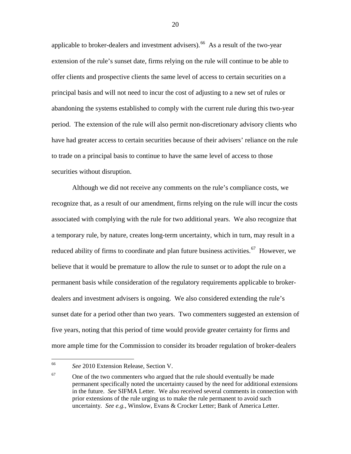applicable to broker-dealers and investment advisers).  $^{66}$  As a result of the two-year extension of the rule's sunset date, firms relying on the rule will continue to be able to offer clients and prospective clients the same level of access to certain securities on a principal basis and will not need to incur the cost of adjusting to a new set of rules or abandoning the systems established to comply with the current rule during this two-year period. The extension of the rule will also permit non-discretionary advisory clients who have had greater access to certain securities because of their advisers' reliance on the rule to trade on a principal basis to continue to have the same level of access to those securities without disruption.

Although we did not receive any comments on the rule's compliance costs, we recognize that, as a result of our amendment, firms relying on the rule will incur the costs associated with complying with the rule for two additional years. We also recognize that a temporary rule, by nature, creates long-term uncertainty, which in turn, may result in a reduced ability of firms to coordinate and plan future business activities.<sup>[67](#page-19-1)</sup> However, we believe that it would be premature to allow the rule to sunset or to adopt the rule on a permanent basis while consideration of the regulatory requirements applicable to brokerdealers and investment advisers is ongoing. We also considered extending the rule's sunset date for a period other than two years. Two commenters suggested an extension of five years, noting that this period of time would provide greater certainty for firms and more ample time for the Commission to consider its broader regulation of broker-dealers

<span id="page-19-0"></span> <sup>66</sup> *See* 2010 Extension Release, Section V.

<span id="page-19-1"></span> $67$  One of the two commenters who argued that the rule should eventually be made permanent specifically noted the uncertainty caused by the need for additional extensions in the future. *See* SIFMA Letter. We also received several comments in connection with prior extensions of the rule urging us to make the rule permanent to avoid such uncertainty*. See e.g.*, Winslow, Evans & Crocker Letter; Bank of America Letter.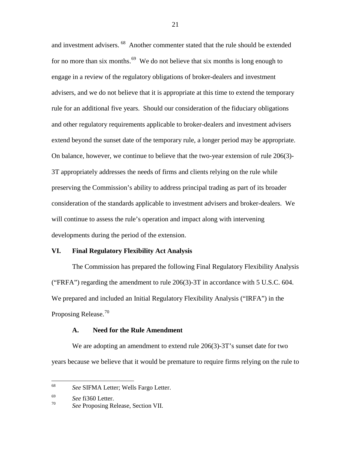and investment advisers. [68](#page-20-0) Another commenter stated that the rule should be extended for no more than six months.<sup>[69](#page-20-1)</sup> We do not believe that six months is long enough to engage in a review of the regulatory obligations of broker-dealers and investment advisers, and we do not believe that it is appropriate at this time to extend the temporary rule for an additional five years. Should our consideration of the fiduciary obligations and other regulatory requirements applicable to broker-dealers and investment advisers extend beyond the sunset date of the temporary rule, a longer period may be appropriate. On balance, however, we continue to believe that the two-year extension of rule 206(3)- 3T appropriately addresses the needs of firms and clients relying on the rule while preserving the Commission's ability to address principal trading as part of its broader consideration of the standards applicable to investment advisers and broker-dealers. We will continue to assess the rule's operation and impact along with intervening developments during the period of the extension.

# **VI. Final Regulatory Flexibility Act Analysis**

The Commission has prepared the following Final Regulatory Flexibility Analysis ("FRFA") regarding the amendment to rule  $206(3)$ -3T in accordance with 5 U.S.C. 604. We prepared and included an Initial Regulatory Flexibility Analysis ("IRFA") in the Proposing Release.<sup>[70](#page-20-2)</sup>

#### **A. Need for the Rule Amendment**

We are adopting an amendment to extend rule 206(3)-3T's sunset date for two years because we believe that it would be premature to require firms relying on the rule to

<span id="page-20-0"></span> <sup>68</sup> *See* SIFMA Letter; Wells Fargo Letter.

<span id="page-20-1"></span> $\frac{69}{70}$  *See* fi360 Letter.

<span id="page-20-2"></span>*See* Proposing Release, Section VII.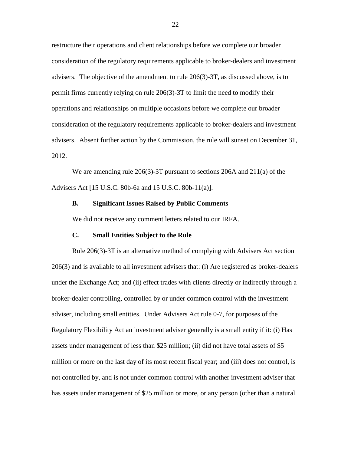restructure their operations and client relationships before we complete our broader consideration of the regulatory requirements applicable to broker-dealers and investment advisers. The objective of the amendment to rule 206(3)-3T, as discussed above, is to permit firms currently relying on rule 206(3)-3T to limit the need to modify their operations and relationships on multiple occasions before we complete our broader consideration of the regulatory requirements applicable to broker-dealers and investment advisers. Absent further action by the Commission, the rule will sunset on December 31, 2012.

We are amending rule 206(3)-3T pursuant to sections 206A and 211(a) of the Advisers Act [15 U.S.C. 80b-6a and 15 U.S.C. 80b-11(a)].

#### **B. Significant Issues Raised by Public Comments**

We did not receive any comment letters related to our IRFA.

#### **C. Small Entities Subject to the Rule**

Rule 206(3)-3T is an alternative method of complying with Advisers Act section 206(3) and is available to all investment advisers that: (i) Are registered as broker-dealers under the Exchange Act; and (ii) effect trades with clients directly or indirectly through a broker-dealer controlling, controlled by or under common control with the investment adviser, including small entities. Under Advisers Act rule 0-7, for purposes of the Regulatory Flexibility Act an investment adviser generally is a small entity if it: (i) Has assets under management of less than \$25 million; (ii) did not have total assets of \$5 million or more on the last day of its most recent fiscal year; and (iii) does not control, is not controlled by, and is not under common control with another investment adviser that has assets under management of \$25 million or more, or any person (other than a natural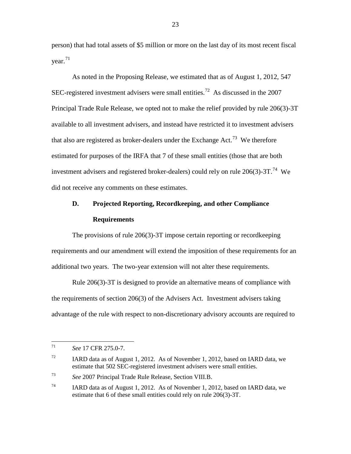person) that had total assets of \$5 million or more on the last day of its most recent fiscal  $year.<sup>71</sup>$  $year.<sup>71</sup>$  $year.<sup>71</sup>$ 

As noted in the Proposing Release, we estimated that as of August 1, 2012, 547 SEC-registered investment advisers were small entities.<sup>[72](#page-22-1)</sup> As discussed in the 2007 Principal Trade Rule Release, we opted not to make the relief provided by rule 206(3)-3T available to all investment advisers, and instead have restricted it to investment advisers that also are registered as broker-dealers under the Exchange Act.<sup>73</sup> We therefore estimated for purposes of the IRFA that 7 of these small entities (those that are both investment advisers and registered broker-dealers) could rely on rule  $206(3)$ -3T.<sup>74</sup> We did not receive any comments on these estimates.

# **D. Projected Reporting, Recordkeeping, and other Compliance Requirements**

The provisions of rule 206(3)-3T impose certain reporting or recordkeeping requirements and our amendment will extend the imposition of these requirements for an additional two years. The two-year extension will not alter these requirements.

Rule 206(3)-3T is designed to provide an alternative means of compliance with the requirements of section 206(3) of the Advisers Act. Investment advisers taking advantage of the rule with respect to non-discretionary advisory accounts are required to

<span id="page-22-0"></span> <sup>71</sup> *See* 17 CFR 275.0-7.

<span id="page-22-1"></span><sup>&</sup>lt;sup>72</sup> IARD data as of August 1, 2012. As of November 1, 2012, based on IARD data, we estimate that 502 SEC-registered investment advisers were small entities.

<span id="page-22-2"></span><sup>73</sup> *See* 2007 Principal Trade Rule Release, Section VIII.B.

<span id="page-22-3"></span><sup>&</sup>lt;sup>74</sup> IARD data as of August 1, 2012. As of November 1, 2012, based on IARD data, we estimate that 6 of these small entities could rely on rule 206(3)-3T.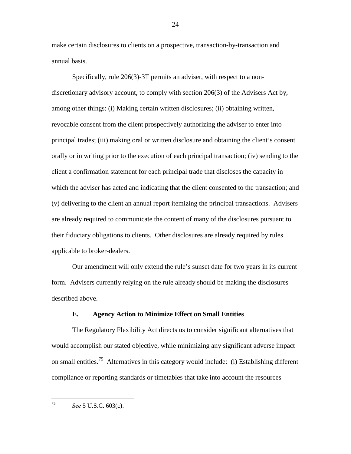make certain disclosures to clients on a prospective, transaction-by-transaction and annual basis.

Specifically, rule 206(3)-3T permits an adviser, with respect to a nondiscretionary advisory account, to comply with section 206(3) of the Advisers Act by, among other things: (i) Making certain written disclosures; (ii) obtaining written, revocable consent from the client prospectively authorizing the adviser to enter into principal trades; (iii) making oral or written disclosure and obtaining the client's consent orally or in writing prior to the execution of each principal transaction; (iv) sending to the client a confirmation statement for each principal trade that discloses the capacity in which the adviser has acted and indicating that the client consented to the transaction; and (v) delivering to the client an annual report itemizing the principal transactions. Advisers are already required to communicate the content of many of the disclosures pursuant to their fiduciary obligations to clients. Other disclosures are already required by rules applicable to broker-dealers.

Our amendment will only extend the rule's sunset date for two years in its current form. Advisers currently relying on the rule already should be making the disclosures described above.

# **E. Agency Action to Minimize Effect on Small Entities**

The Regulatory Flexibility Act directs us to consider significant alternatives that would accomplish our stated objective, while minimizing any significant adverse impact on small entities.<sup>[75](#page-23-0)</sup> Alternatives in this category would include: (i) Establishing different compliance or reporting standards or timetables that take into account the resources

<span id="page-23-0"></span>75 *See* 5 U.S.C. 603(c).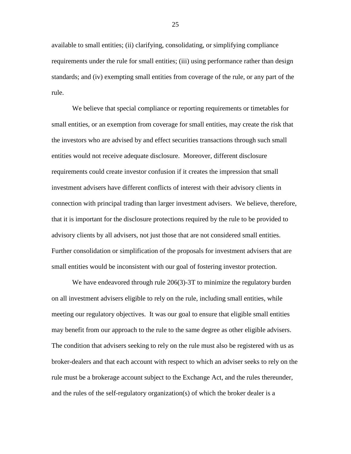available to small entities; (ii) clarifying, consolidating, or simplifying compliance requirements under the rule for small entities; (iii) using performance rather than design standards; and (iv) exempting small entities from coverage of the rule, or any part of the rule.

We believe that special compliance or reporting requirements or timetables for small entities, or an exemption from coverage for small entities, may create the risk that the investors who are advised by and effect securities transactions through such small entities would not receive adequate disclosure. Moreover, different disclosure requirements could create investor confusion if it creates the impression that small investment advisers have different conflicts of interest with their advisory clients in connection with principal trading than larger investment advisers. We believe, therefore, that it is important for the disclosure protections required by the rule to be provided to advisory clients by all advisers, not just those that are not considered small entities. Further consolidation or simplification of the proposals for investment advisers that are small entities would be inconsistent with our goal of fostering investor protection.

We have endeavored through rule 206(3)-3T to minimize the regulatory burden on all investment advisers eligible to rely on the rule, including small entities, while meeting our regulatory objectives. It was our goal to ensure that eligible small entities may benefit from our approach to the rule to the same degree as other eligible advisers. The condition that advisers seeking to rely on the rule must also be registered with us as broker-dealers and that each account with respect to which an adviser seeks to rely on the rule must be a brokerage account subject to the Exchange Act, and the rules thereunder, and the rules of the self-regulatory organization(s) of which the broker dealer is a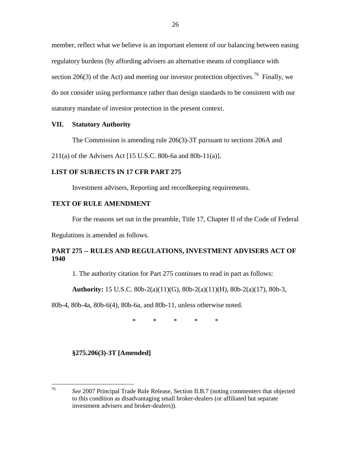member, reflect what we believe is an important element of our balancing between easing regulatory burdens (by affording advisers an alternative means of compliance with section 206(3) of the Act) and meeting our investor protection objectives.<sup>[76](#page-25-0)</sup> Finally, we do not consider using performance rather than design standards to be consistent with our statutory mandate of investor protection in the present context.

# **VII. Statutory Authority**

The Commission is amending rule 206(3)-3T pursuant to sections 206A and

211(a) of the Advisers Act [15 U.S.C. 80b-6a and 80b-11(a)].

# **LIST OF SUBJECTS IN 17 CFR PART 275**

Investment advisers, Reporting and recordkeeping requirements.

#### **TEXT OF RULE AMENDMENT**

For the reasons set out in the preamble, Title 17, Chapter II of the Code of Federal

Regulations is amended as follows.

# **PART 275 -- RULES AND REGULATIONS, INVESTMENT ADVISERS ACT OF 1940**

1. The authority citation for Part 275 continues to read in part as follows:

**Authority:** 15 U.S.C. 80b-2(a)(11)(G), 80b-2(a)(11)(H), 80b-2(a)(17), 80b-3,

80b-4, 80b-4a, 80b-6(4), 80b-6a, and 80b-11, unless otherwise noted.

\* \* \* \* \*

**§275.206(3)-3T [Amended]**

<span id="page-25-0"></span> <sup>76</sup> *See* 2007 Principal Trade Rule Release, Section II.B.7 (noting commenters that objected to this condition as disadvantaging small broker-dealers (or affiliated but separate investment advisers and broker-dealers)).